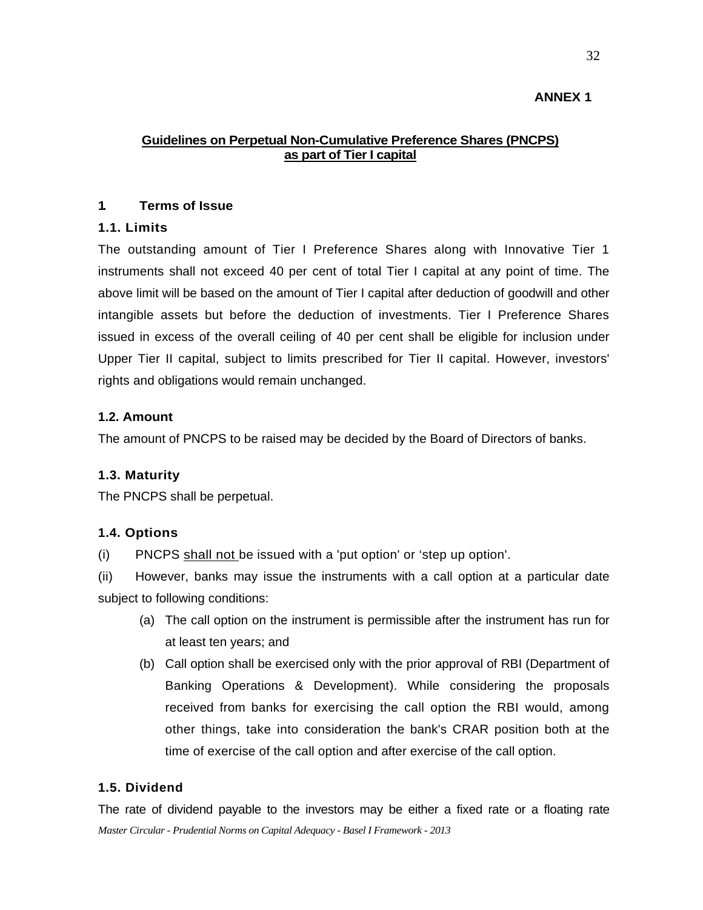# **ANNEX 1**

# **Guidelines on Perpetual Non-Cumulative Preference Shares (PNCPS) as part of Tier I capital**

# **1. Terms of Issue**

# **1.1. Limits**

The outstanding amount of Tier I Preference Shares along with Innovative Tier 1 instruments shall not exceed 40 per cent of total Tier I capital at any point of time. The above limit will be based on the amount of Tier I capital after deduction of goodwill and other intangible assets but before the deduction of investments. Tier I Preference Shares issued in excess of the overall ceiling of 40 per cent shall be eligible for inclusion under Upper Tier II capital, subject to limits prescribed for Tier II capital. However, investors' rights and obligations would remain unchanged.

# **1.2. Amount**

The amount of PNCPS to be raised may be decided by the Board of Directors of banks.

# **1.3. Maturity**

The PNCPS shall be perpetual.

# **1.4. Options**

(i) PNCPS shall not be issued with a 'put option' or 'step up option'.

(ii) However, banks may issue the instruments with a call option at a particular date subject to following conditions:

- (a) The call option on the instrument is permissible after the instrument has run for at least ten years; and
- (b) Call option shall be exercised only with the prior approval of RBI (Department of Banking Operations & Development). While considering the proposals received from banks for exercising the call option the RBI would, among other things, take into consideration the bank's CRAR position both at the time of exercise of the call option and after exercise of the call option.

# **1.5. Dividend**

*Master Circular - Prudential Norms on Capital Adequacy - Basel I Framework - 2013* The rate of dividend payable to the investors may be either a fixed rate or a floating rate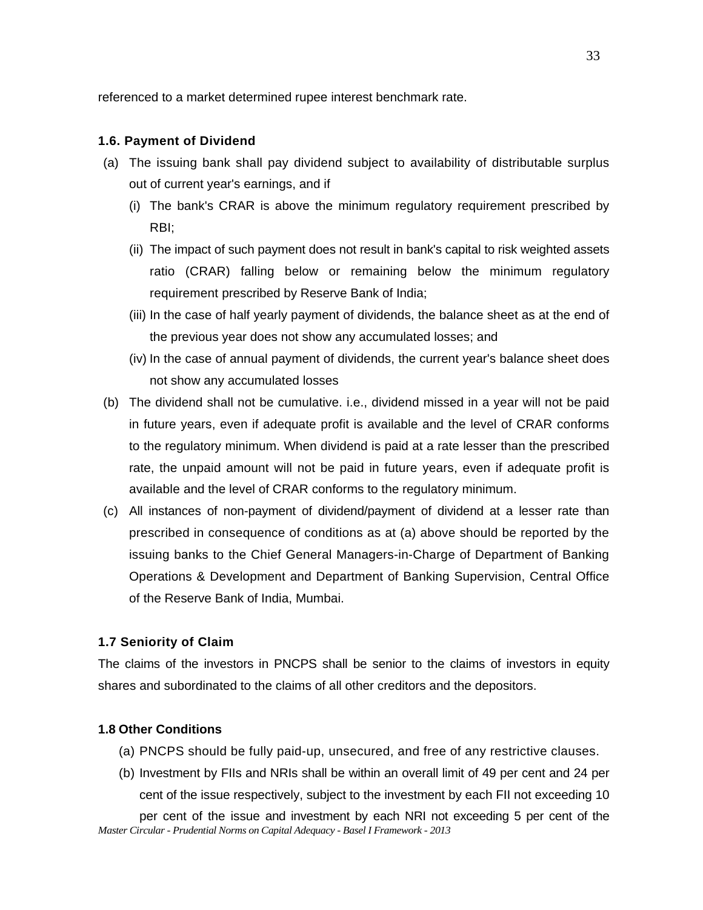referenced to a market determined rupee interest benchmark rate.

### **1.6. Payment of Dividend**

- (a) The issuing bank shall pay dividend subject to availability of distributable surplus out of current year's earnings, and if
	- (i) The bank's CRAR is above the minimum regulatory requirement prescribed by RBI;
	- (ii) The impact of such payment does not result in bank's capital to risk weighted assets ratio (CRAR) falling below or remaining below the minimum regulatory requirement prescribed by Reserve Bank of India;
	- (iii) In the case of half yearly payment of dividends, the balance sheet as at the end of the previous year does not show any accumulated losses; and
	- (iv) In the case of annual payment of dividends, the current year's balance sheet does not show any accumulated losses
- (b) The dividend shall not be cumulative. i.e., dividend missed in a year will not be paid in future years, even if adequate profit is available and the level of CRAR conforms to the regulatory minimum. When dividend is paid at a rate lesser than the prescribed rate, the unpaid amount will not be paid in future years, even if adequate profit is available and the level of CRAR conforms to the regulatory minimum.
- (c) All instances of non-payment of dividend/payment of dividend at a lesser rate than prescribed in consequence of conditions as at (a) above should be reported by the issuing banks to the Chief General Managers-in-Charge of Department of Banking Operations & Development and Department of Banking Supervision, Central Office of the Reserve Bank of India, Mumbai.

### **1.7 Seniority of Claim**

The claims of the investors in PNCPS shall be senior to the claims of investors in equity shares and subordinated to the claims of all other creditors and the depositors.

### **1.8 Other Conditions**

- (a) PNCPS should be fully paid-up, unsecured, and free of any restrictive clauses.
- (b) Investment by FIIs and NRIs shall be within an overall limit of 49 per cent and 24 per cent of the issue respectively, subject to the investment by each FII not exceeding 10

*Master Circular - Prudential Norms on Capital Adequacy - Basel I Framework - 2013* per cent of the issue and investment by each NRI not exceeding 5 per cent of the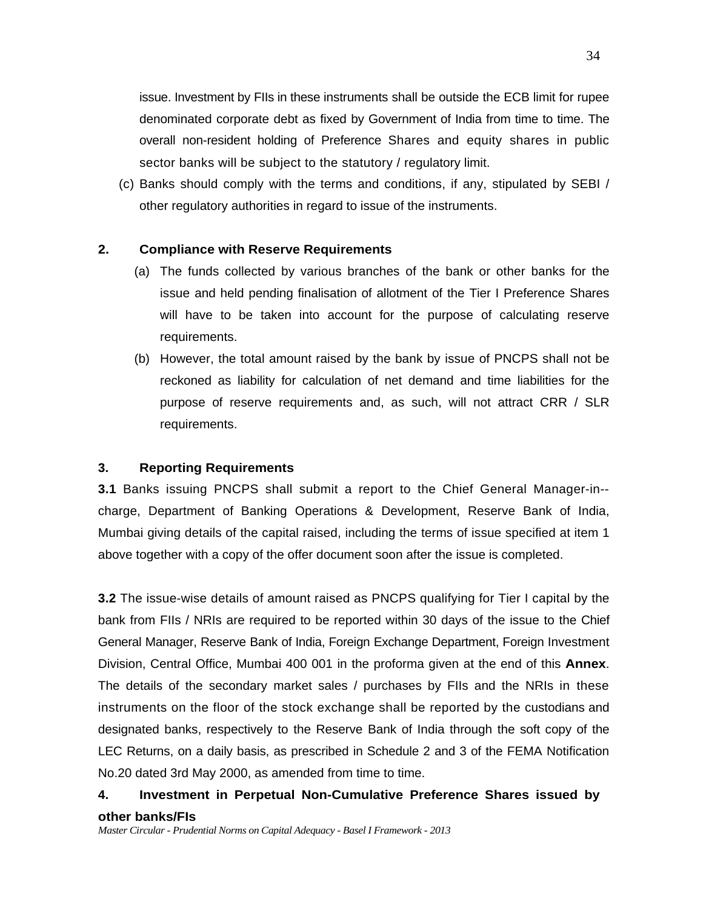issue. Investment by FIIs in these instruments shall be outside the ECB limit for rupee denominated corporate debt as fixed by Government of India from time to time. The overall non-resident holding of Preference Shares and equity shares in public sector banks will be subject to the statutory / regulatory limit.

(c) Banks should comply with the terms and conditions, if any, stipulated by SEBI / other regulatory authorities in regard to issue of the instruments.

### **2. Compliance with Reserve Requirements**

- (a) The funds collected by various branches of the bank or other banks for the issue and held pending finalisation of allotment of the Tier I Preference Shares will have to be taken into account for the purpose of calculating reserve requirements.
- (b) However, the total amount raised by the bank by issue of PNCPS shall not be reckoned as liability for calculation of net demand and time liabilities for the purpose of reserve requirements and, as such, will not attract CRR / SLR requirements.

### **3. Reporting Requirements**

**3.1** Banks issuing PNCPS shall submit a report to the Chief General Manager-in- charge, Department of Banking Operations & Development, Reserve Bank of India, Mumbai giving details of the capital raised, including the terms of issue specified at item 1 above together with a copy of the offer document soon after the issue is completed.

**3.2** The issue-wise details of amount raised as PNCPS qualifying for Tier I capital by the bank from FIIs / NRIs are required to be reported within 30 days of the issue to the Chief General Manager, Reserve Bank of India, Foreign Exchange Department, Foreign Investment Division, Central Office, Mumbai 400 001 in the proforma given at the end of this **Annex**. The details of the secondary market sales / purchases by FIIs and the NRIs in these instruments on the floor of the stock exchange shall be reported by the custodians and designated banks, respectively to the Reserve Bank of India through the soft copy of the LEC Returns, on a daily basis, as prescribed in Schedule 2 and 3 of the FEMA Notification No.20 dated 3rd May 2000, as amended from time to time.

### **4. Investment in Perpetual Non-Cumulative Preference Shares issued by**

#### **other banks/FIs**

*Master Circular - Prudential Norms on Capital Adequacy - Basel I Framework - 2013*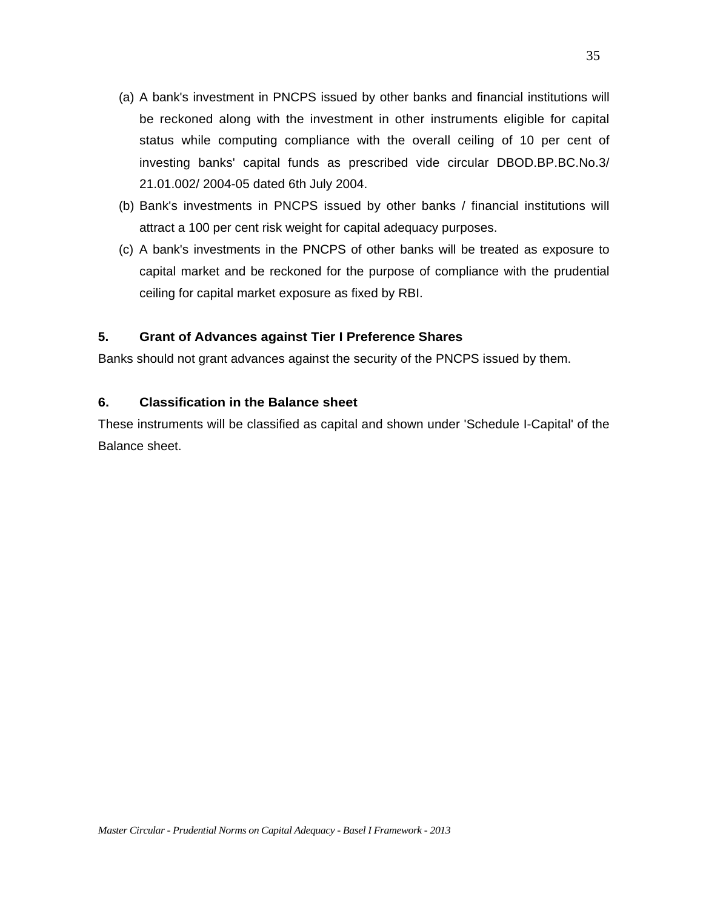- (a) A bank's investment in PNCPS issued by other banks and financial institutions will be reckoned along with the investment in other instruments eligible for capital status while computing compliance with the overall ceiling of 10 per cent of investing banks' capital funds as prescribed vide circular DBOD.BP.BC.No.3/ 21.01.002/ 2004-05 dated 6th July 2004.
- (b) Bank's investments in PNCPS issued by other banks / financial institutions will attract a 100 per cent risk weight for capital adequacy purposes.
- (c) A bank's investments in the PNCPS of other banks will be treated as exposure to capital market and be reckoned for the purpose of compliance with the prudential ceiling for capital market exposure as fixed by RBI.

### **5. Grant of Advances against Tier I Preference Shares**

Banks should not grant advances against the security of the PNCPS issued by them.

### **6. Classification in the Balance sheet**

These instruments will be classified as capital and shown under 'Schedule I-Capital' of the Balance sheet.